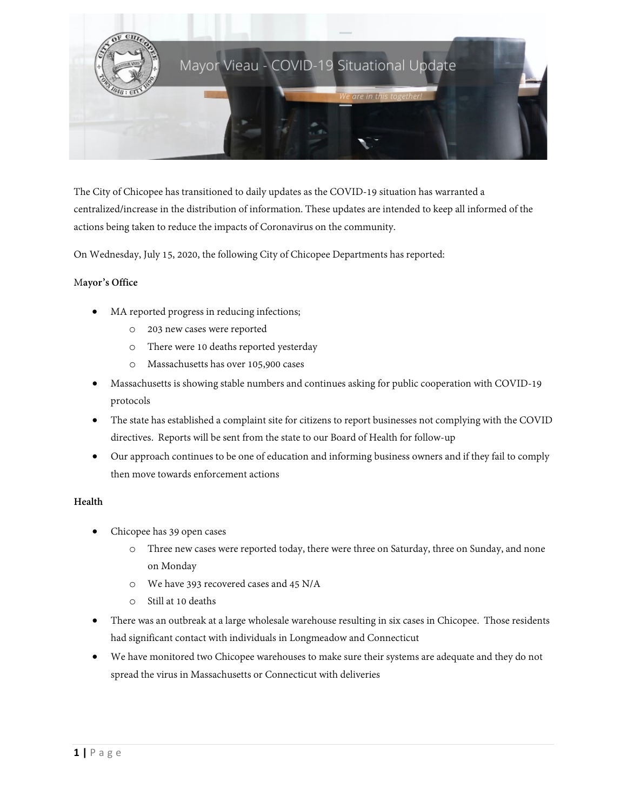

The City of Chicopee has transitioned to daily updates as the COVID-19 situation has warranted a centralized/increase in the distribution of information. These updates are intended to keep all informed of the actions being taken to reduce the impacts of Coronavirus on the community.

On Wednesday, July 15, 2020, the following City of Chicopee Departments has reported:

## M**ayor's Office**

- MA reported progress in reducing infections;
	- o 203 new cases were reported
	- o There were 10 deaths reported yesterday
	- o Massachusetts has over 105,900 cases
- Massachusetts is showing stable numbers and continues asking for public cooperation with COVID-19 protocols
- The state has established a complaint site for citizens to report businesses not complying with the COVID directives. Reports will be sent from the state to our Board of Health for follow-up
- Our approach continues to be one of education and informing business owners and if they fail to comply then move towards enforcement actions

#### **Health**

- Chicopee has 39 open cases
	- o Three new cases were reported today, there were three on Saturday, three on Sunday, and none on Monday
	- o We have 393 recovered cases and 45 N/A
	- o Still at 10 deaths
- There was an outbreak at a large wholesale warehouse resulting in six cases in Chicopee. Those residents had significant contact with individuals in Longmeadow and Connecticut
- We have monitored two Chicopee warehouses to make sure their systems are adequate and they do not spread the virus in Massachusetts or Connecticut with deliveries